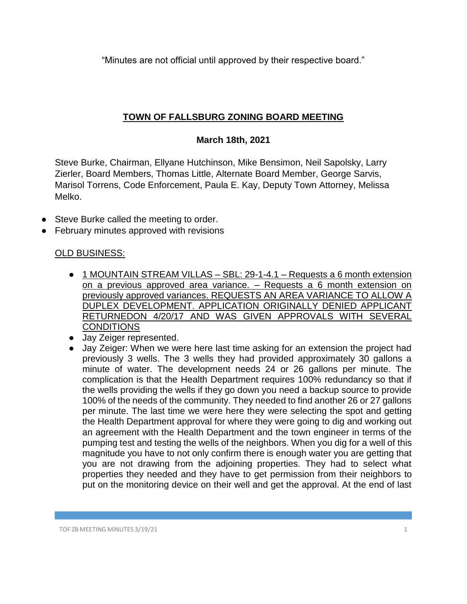"Minutes are not official until approved by their respective board."

## **TOWN OF FALLSBURG ZONING BOARD MEETING**

## **March 18th, 2021**

Steve Burke, Chairman, Ellyane Hutchinson, Mike Bensimon, Neil Sapolsky, Larry Zierler, Board Members, Thomas Little, Alternate Board Member, George Sarvis, Marisol Torrens, Code Enforcement, Paula E. Kay, Deputy Town Attorney, Melissa Melko.

- Steve Burke called the meeting to order.
- **February minutes approved with revisions**

## OLD BUSINESS:

- 1 MOUNTAIN STREAM VILLAS SBL: 29-1-4.1 Requests a 6 month extension on a previous approved area variance. – Requests a 6 month extension on previously approved variances. REQUESTS AN AREA VARIANCE TO ALLOW A DUPLEX DEVELOPMENT. APPLICATION ORIGINALLY DENIED APPLICANT RETURNEDON 4/20/17 AND WAS GIVEN APPROVALS WITH SEVERAL **CONDITIONS**
- Jay Zeiger represented.
- Jay Zeiger: When we were here last time asking for an extension the project had previously 3 wells. The 3 wells they had provided approximately 30 gallons a minute of water. The development needs 24 or 26 gallons per minute. The complication is that the Health Department requires 100% redundancy so that if the wells providing the wells if they go down you need a backup source to provide 100% of the needs of the community. They needed to find another 26 or 27 gallons per minute. The last time we were here they were selecting the spot and getting the Health Department approval for where they were going to dig and working out an agreement with the Health Department and the town engineer in terms of the pumping test and testing the wells of the neighbors. When you dig for a well of this magnitude you have to not only confirm there is enough water you are getting that you are not drawing from the adjoining properties. They had to select what properties they needed and they have to get permission from their neighbors to put on the monitoring device on their well and get the approval. At the end of last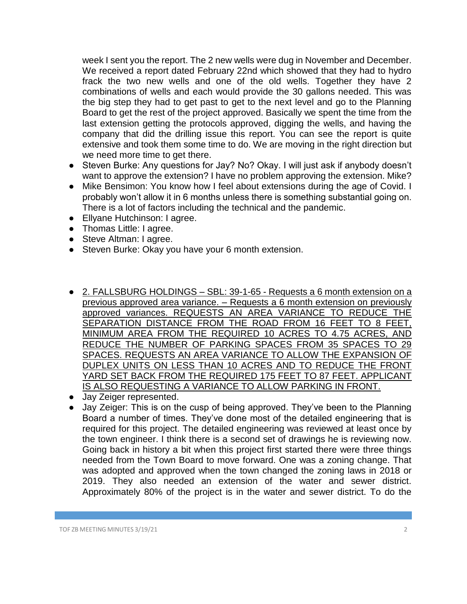week I sent you the report. The 2 new wells were dug in November and December. We received a report dated February 22nd which showed that they had to hydro frack the two new wells and one of the old wells. Together they have 2 combinations of wells and each would provide the 30 gallons needed. This was the big step they had to get past to get to the next level and go to the Planning Board to get the rest of the project approved. Basically we spent the time from the last extension getting the protocols approved, digging the wells, and having the company that did the drilling issue this report. You can see the report is quite extensive and took them some time to do. We are moving in the right direction but we need more time to get there.

- Steven Burke: Any questions for Jay? No? Okay. I will just ask if anybody doesn't want to approve the extension? I have no problem approving the extension. Mike?
- Mike Bensimon: You know how I feel about extensions during the age of Covid. I probably won't allow it in 6 months unless there is something substantial going on. There is a lot of factors including the technical and the pandemic.
- Ellyane Hutchinson: I agree.
- Thomas Little: I agree.
- Steve Altman: I agree.
- Steven Burke: Okay you have your 6 month extension.
- 2. FALLSBURG HOLDINGS SBL: 39-1-65 Requests a 6 month extension on a previous approved area variance. – Requests a 6 month extension on previously approved variances. REQUESTS AN AREA VARIANCE TO REDUCE THE SEPARATION DISTANCE FROM THE ROAD FROM 16 FEET TO 8 FEET, MINIMUM AREA FROM THE REQUIRED 10 ACRES TO 4.75 ACRES, AND REDUCE THE NUMBER OF PARKING SPACES FROM 35 SPACES TO 29 SPACES. REQUESTS AN AREA VARIANCE TO ALLOW THE EXPANSION OF DUPLEX UNITS ON LESS THAN 10 ACRES AND TO REDUCE THE FRONT YARD SET BACK FROM THE REQUIRED 175 FEET TO 87 FEET. APPLICANT IS ALSO REQUESTING A VARIANCE TO ALLOW PARKING IN FRONT.
- Jay Zeiger represented.
- Jay Zeiger: This is on the cusp of being approved. They've been to the Planning Board a number of times. They've done most of the detailed engineering that is required for this project. The detailed engineering was reviewed at least once by the town engineer. I think there is a second set of drawings he is reviewing now. Going back in history a bit when this project first started there were three things needed from the Town Board to move forward. One was a zoning change. That was adopted and approved when the town changed the zoning laws in 2018 or 2019. They also needed an extension of the water and sewer district. Approximately 80% of the project is in the water and sewer district. To do the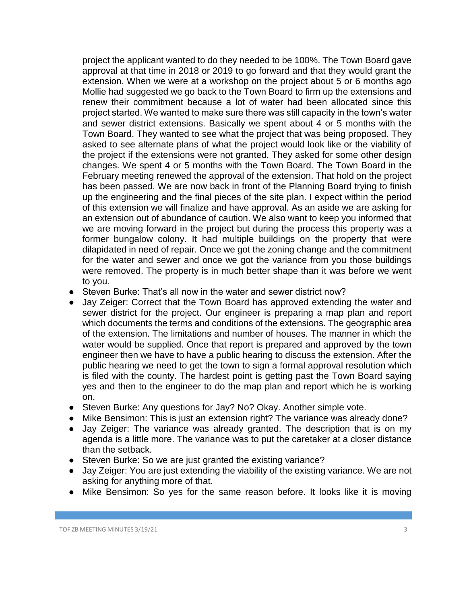project the applicant wanted to do they needed to be 100%. The Town Board gave approval at that time in 2018 or 2019 to go forward and that they would grant the extension. When we were at a workshop on the project about 5 or 6 months ago Mollie had suggested we go back to the Town Board to firm up the extensions and renew their commitment because a lot of water had been allocated since this project started. We wanted to make sure there was still capacity in the town's water and sewer district extensions. Basically we spent about 4 or 5 months with the Town Board. They wanted to see what the project that was being proposed. They asked to see alternate plans of what the project would look like or the viability of the project if the extensions were not granted. They asked for some other design changes. We spent 4 or 5 months with the Town Board. The Town Board in the February meeting renewed the approval of the extension. That hold on the project has been passed. We are now back in front of the Planning Board trying to finish up the engineering and the final pieces of the site plan. I expect within the period of this extension we will finalize and have approval. As an aside we are asking for an extension out of abundance of caution. We also want to keep you informed that we are moving forward in the project but during the process this property was a former bungalow colony. It had multiple buildings on the property that were dilapidated in need of repair. Once we got the zoning change and the commitment for the water and sewer and once we got the variance from you those buildings were removed. The property is in much better shape than it was before we went to you.

- Steven Burke: That's all now in the water and sewer district now?
- Jay Zeiger: Correct that the Town Board has approved extending the water and sewer district for the project. Our engineer is preparing a map plan and report which documents the terms and conditions of the extensions. The geographic area of the extension. The limitations and number of houses. The manner in which the water would be supplied. Once that report is prepared and approved by the town engineer then we have to have a public hearing to discuss the extension. After the public hearing we need to get the town to sign a formal approval resolution which is filed with the county. The hardest point is getting past the Town Board saying yes and then to the engineer to do the map plan and report which he is working on.
- Steven Burke: Any questions for Jay? No? Okay. Another simple vote.
- Mike Bensimon: This is just an extension right? The variance was already done?
- Jay Zeiger: The variance was already granted. The description that is on my agenda is a little more. The variance was to put the caretaker at a closer distance than the setback.
- Steven Burke: So we are just granted the existing variance?
- Jay Zeiger: You are just extending the viability of the existing variance. We are not asking for anything more of that.
- Mike Bensimon: So yes for the same reason before. It looks like it is moving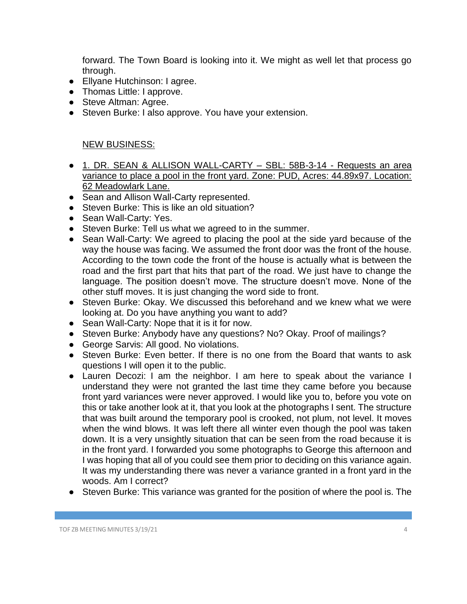forward. The Town Board is looking into it. We might as well let that process go through.

- Ellyane Hutchinson: I agree.
- Thomas Little: I approve.
- Steve Altman: Agree.
- Steven Burke: I also approve. You have your extension.

## NEW BUSINESS:

- 1. DR. SEAN & ALLISON WALL-CARTY SBL: 58B-3-14 Requests an area variance to place a pool in the front yard. Zone: PUD, Acres: 44.89x97. Location: 62 Meadowlark Lane.
- Sean and Allison Wall-Carty represented.
- Steven Burke: This is like an old situation?
- Sean Wall-Carty: Yes.
- Steven Burke: Tell us what we agreed to in the summer.
- Sean Wall-Carty: We agreed to placing the pool at the side yard because of the way the house was facing. We assumed the front door was the front of the house. According to the town code the front of the house is actually what is between the road and the first part that hits that part of the road. We just have to change the language. The position doesn't move. The structure doesn't move. None of the other stuff moves. It is just changing the word side to front.
- Steven Burke: Okay. We discussed this beforehand and we knew what we were looking at. Do you have anything you want to add?
- Sean Wall-Carty: Nope that it is it for now.
- Steven Burke: Anybody have any questions? No? Okay. Proof of mailings?
- George Sarvis: All good. No violations.
- Steven Burke: Even better. If there is no one from the Board that wants to ask questions I will open it to the public.
- Lauren Decozi: I am the neighbor. I am here to speak about the variance I understand they were not granted the last time they came before you because front yard variances were never approved. I would like you to, before you vote on this or take another look at it, that you look at the photographs I sent. The structure that was built around the temporary pool is crooked, not plum, not level. It moves when the wind blows. It was left there all winter even though the pool was taken down. It is a very unsightly situation that can be seen from the road because it is in the front yard. I forwarded you some photographs to George this afternoon and I was hoping that all of you could see them prior to deciding on this variance again. It was my understanding there was never a variance granted in a front yard in the woods. Am I correct?
- Steven Burke: This variance was granted for the position of where the pool is. The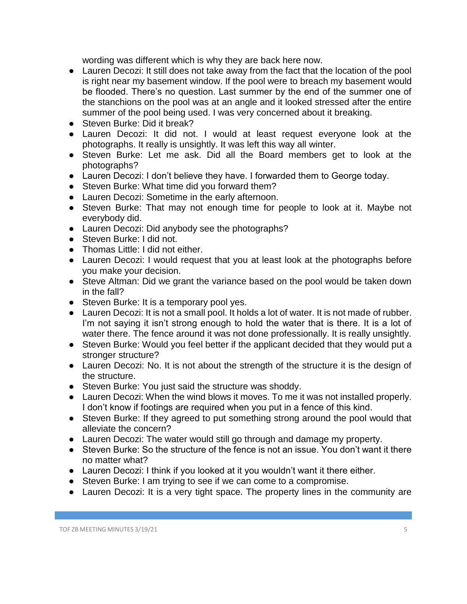wording was different which is why they are back here now.

- Lauren Decozi: It still does not take away from the fact that the location of the pool is right near my basement window. If the pool were to breach my basement would be flooded. There's no question. Last summer by the end of the summer one of the stanchions on the pool was at an angle and it looked stressed after the entire summer of the pool being used. I was very concerned about it breaking.
- Steven Burke: Did it break?
- Lauren Decozi: It did not. I would at least request everyone look at the photographs. It really is unsightly. It was left this way all winter.
- Steven Burke: Let me ask. Did all the Board members get to look at the photographs?
- Lauren Decozi: I don't believe they have. I forwarded them to George today.
- Steven Burke: What time did you forward them?
- Lauren Decozi: Sometime in the early afternoon.
- Steven Burke: That may not enough time for people to look at it. Maybe not everybody did.
- Lauren Decozi: Did anybody see the photographs?
- Steven Burke: I did not.
- Thomas Little: I did not either.
- Lauren Decozi: I would request that you at least look at the photographs before you make your decision.
- Steve Altman: Did we grant the variance based on the pool would be taken down in the fall?
- Steven Burke: It is a temporary pool yes.
- Lauren Decozi: It is not a small pool. It holds a lot of water. It is not made of rubber. I'm not saying it isn't strong enough to hold the water that is there. It is a lot of water there. The fence around it was not done professionally. It is really unsightly.
- Steven Burke: Would you feel better if the applicant decided that they would put a stronger structure?
- Lauren Decozi: No. It is not about the strength of the structure it is the design of the structure.
- Steven Burke: You just said the structure was shoddy.
- Lauren Decozi: When the wind blows it moves. To me it was not installed properly. I don't know if footings are required when you put in a fence of this kind.
- Steven Burke: If they agreed to put something strong around the pool would that alleviate the concern?
- Lauren Decozi: The water would still go through and damage my property.
- Steven Burke: So the structure of the fence is not an issue. You don't want it there no matter what?
- Lauren Decozi: I think if you looked at it you wouldn't want it there either.
- Steven Burke: I am trying to see if we can come to a compromise.
- Lauren Decozi: It is a very tight space. The property lines in the community are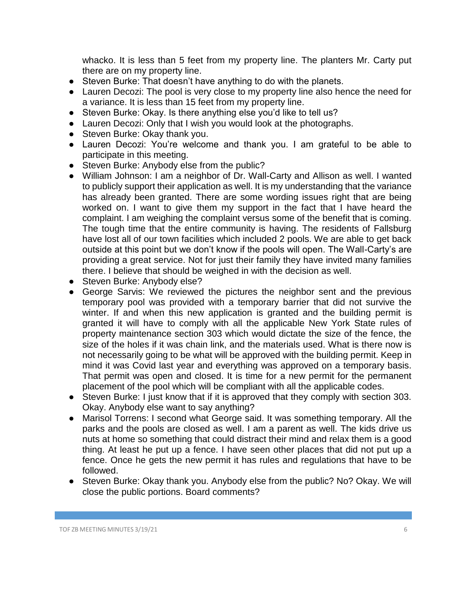whacko. It is less than 5 feet from my property line. The planters Mr. Carty put there are on my property line.

- Steven Burke: That doesn't have anything to do with the planets.
- Lauren Decozi: The pool is very close to my property line also hence the need for a variance. It is less than 15 feet from my property line.
- Steven Burke: Okay. Is there anything else you'd like to tell us?
- Lauren Decozi: Only that I wish you would look at the photographs.
- Steven Burke: Okay thank you.
- Lauren Decozi: You're welcome and thank you. I am grateful to be able to participate in this meeting.
- Steven Burke: Anybody else from the public?
- William Johnson: I am a neighbor of Dr. Wall-Carty and Allison as well. I wanted to publicly support their application as well. It is my understanding that the variance has already been granted. There are some wording issues right that are being worked on. I want to give them my support in the fact that I have heard the complaint. I am weighing the complaint versus some of the benefit that is coming. The tough time that the entire community is having. The residents of Fallsburg have lost all of our town facilities which included 2 pools. We are able to get back outside at this point but we don't know if the pools will open. The Wall-Carty's are providing a great service. Not for just their family they have invited many families there. I believe that should be weighed in with the decision as well.
- Steven Burke: Anybody else?
- George Sarvis: We reviewed the pictures the neighbor sent and the previous temporary pool was provided with a temporary barrier that did not survive the winter. If and when this new application is granted and the building permit is granted it will have to comply with all the applicable New York State rules of property maintenance section 303 which would dictate the size of the fence, the size of the holes if it was chain link, and the materials used. What is there now is not necessarily going to be what will be approved with the building permit. Keep in mind it was Covid last year and everything was approved on a temporary basis. That permit was open and closed. It is time for a new permit for the permanent placement of the pool which will be compliant with all the applicable codes.
- Steven Burke: I just know that if it is approved that they comply with section 303. Okay. Anybody else want to say anything?
- Marisol Torrens: I second what George said. It was something temporary. All the parks and the pools are closed as well. I am a parent as well. The kids drive us nuts at home so something that could distract their mind and relax them is a good thing. At least he put up a fence. I have seen other places that did not put up a fence. Once he gets the new permit it has rules and regulations that have to be followed.
- Steven Burke: Okay thank you. Anybody else from the public? No? Okay. We will close the public portions. Board comments?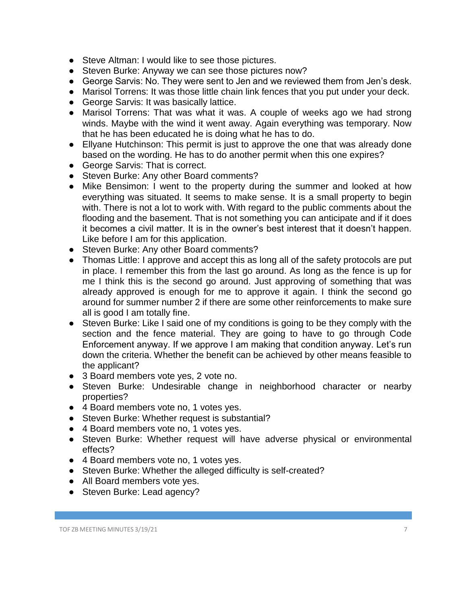- Steve Altman: I would like to see those pictures.
- Steven Burke: Anyway we can see those pictures now?
- George Sarvis: No. They were sent to Jen and we reviewed them from Jen's desk.
- Marisol Torrens: It was those little chain link fences that you put under your deck.
- George Sarvis: It was basically lattice.
- Marisol Torrens: That was what it was. A couple of weeks ago we had strong winds. Maybe with the wind it went away. Again everything was temporary. Now that he has been educated he is doing what he has to do.
- Ellyane Hutchinson: This permit is just to approve the one that was already done based on the wording. He has to do another permit when this one expires?
- George Sarvis: That is correct.
- Steven Burke: Any other Board comments?
- Mike Bensimon: I went to the property during the summer and looked at how everything was situated. It seems to make sense. It is a small property to begin with. There is not a lot to work with. With regard to the public comments about the flooding and the basement. That is not something you can anticipate and if it does it becomes a civil matter. It is in the owner's best interest that it doesn't happen. Like before I am for this application.
- Steven Burke: Any other Board comments?
- Thomas Little: I approve and accept this as long all of the safety protocols are put in place. I remember this from the last go around. As long as the fence is up for me I think this is the second go around. Just approving of something that was already approved is enough for me to approve it again. I think the second go around for summer number 2 if there are some other reinforcements to make sure all is good I am totally fine.
- Steven Burke: Like I said one of my conditions is going to be they comply with the section and the fence material. They are going to have to go through Code Enforcement anyway. If we approve I am making that condition anyway. Let's run down the criteria. Whether the benefit can be achieved by other means feasible to the applicant?
- 3 Board members vote yes, 2 vote no.
- Steven Burke: Undesirable change in neighborhood character or nearby properties?
- 4 Board members vote no, 1 votes yes.
- Steven Burke: Whether request is substantial?
- 4 Board members vote no, 1 votes yes.
- Steven Burke: Whether request will have adverse physical or environmental effects?
- 4 Board members vote no, 1 votes yes.
- Steven Burke: Whether the alleged difficulty is self-created?
- All Board members vote yes.
- Steven Burke: Lead agency?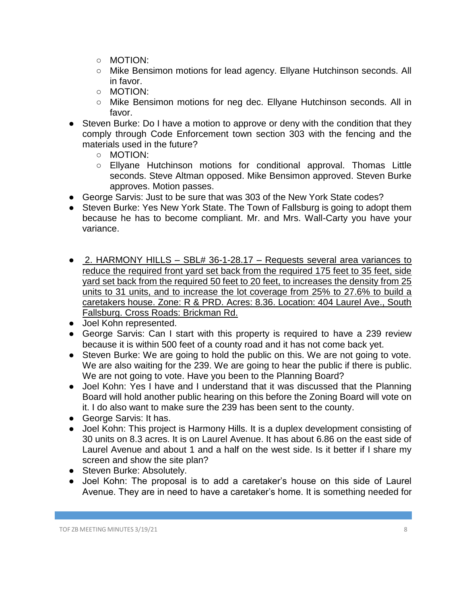- MOTION:
- Mike Bensimon motions for lead agency. Ellyane Hutchinson seconds. All in favor.
- MOTION:
- Mike Bensimon motions for neg dec. Ellyane Hutchinson seconds. All in favor.
- Steven Burke: Do I have a motion to approve or deny with the condition that they comply through Code Enforcement town section 303 with the fencing and the materials used in the future?
	- MOTION:
	- Ellyane Hutchinson motions for conditional approval. Thomas Little seconds. Steve Altman opposed. Mike Bensimon approved. Steven Burke approves. Motion passes.
- George Sarvis: Just to be sure that was 303 of the New York State codes?
- Steven Burke: Yes New York State. The Town of Fallsburg is going to adopt them because he has to become compliant. Mr. and Mrs. Wall-Carty you have your variance.
- 2. HARMONY HILLS SBL# 36-1-28.17 Requests several area variances to reduce the required front yard set back from the required 175 feet to 35 feet, side yard set back from the required 50 feet to 20 feet, to increases the density from 25 units to 31 units, and to increase the lot coverage from 25% to 27.6% to build a caretakers house. Zone: R & PRD. Acres: 8.36. Location: 404 Laurel Ave., South Fallsburg. Cross Roads: Brickman Rd.
- Joel Kohn represented.
- George Sarvis: Can I start with this property is required to have a 239 review because it is within 500 feet of a county road and it has not come back yet.
- Steven Burke: We are going to hold the public on this. We are not going to vote. We are also waiting for the 239. We are going to hear the public if there is public. We are not going to vote. Have you been to the Planning Board?
- Joel Kohn: Yes I have and I understand that it was discussed that the Planning Board will hold another public hearing on this before the Zoning Board will vote on it. I do also want to make sure the 239 has been sent to the county.
- George Sarvis: It has.
- Joel Kohn: This project is Harmony Hills. It is a duplex development consisting of 30 units on 8.3 acres. It is on Laurel Avenue. It has about 6.86 on the east side of Laurel Avenue and about 1 and a half on the west side. Is it better if I share my screen and show the site plan?
- Steven Burke: Absolutely.
- Joel Kohn: The proposal is to add a caretaker's house on this side of Laurel Avenue. They are in need to have a caretaker's home. It is something needed for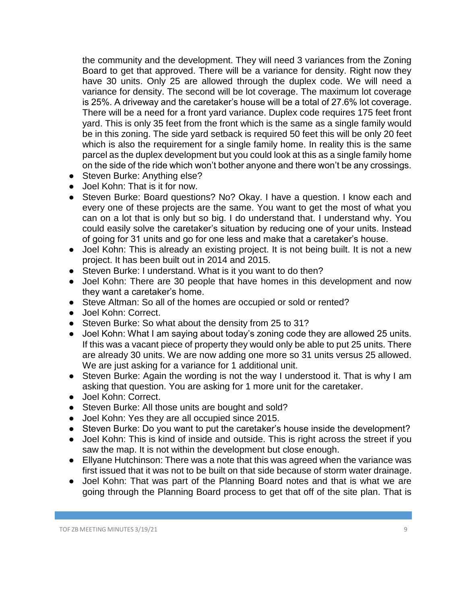the community and the development. They will need 3 variances from the Zoning Board to get that approved. There will be a variance for density. Right now they have 30 units. Only 25 are allowed through the duplex code. We will need a variance for density. The second will be lot coverage. The maximum lot coverage is 25%. A driveway and the caretaker's house will be a total of 27.6% lot coverage. There will be a need for a front yard variance. Duplex code requires 175 feet front yard. This is only 35 feet from the front which is the same as a single family would be in this zoning. The side yard setback is required 50 feet this will be only 20 feet which is also the requirement for a single family home. In reality this is the same parcel as the duplex development but you could look at this as a single family home on the side of the ride which won't bother anyone and there won't be any crossings.

- Steven Burke: Anything else?
- Joel Kohn: That is it for now.
- Steven Burke: Board questions? No? Okay. I have a question. I know each and every one of these projects are the same. You want to get the most of what you can on a lot that is only but so big. I do understand that. I understand why. You could easily solve the caretaker's situation by reducing one of your units. Instead of going for 31 units and go for one less and make that a caretaker's house.
- Joel Kohn: This is already an existing project. It is not being built. It is not a new project. It has been built out in 2014 and 2015.
- Steven Burke: I understand. What is it you want to do then?
- Joel Kohn: There are 30 people that have homes in this development and now they want a caretaker's home.
- Steve Altman: So all of the homes are occupied or sold or rented?
- Joel Kohn: Correct.
- Steven Burke: So what about the density from 25 to 31?
- Joel Kohn: What I am saying about today's zoning code they are allowed 25 units. If this was a vacant piece of property they would only be able to put 25 units. There are already 30 units. We are now adding one more so 31 units versus 25 allowed. We are just asking for a variance for 1 additional unit.
- Steven Burke: Again the wording is not the way I understood it. That is why I am asking that question. You are asking for 1 more unit for the caretaker.
- Joel Kohn: Correct.
- Steven Burke: All those units are bought and sold?
- Joel Kohn: Yes they are all occupied since 2015.
- Steven Burke: Do you want to put the caretaker's house inside the development?
- Joel Kohn: This is kind of inside and outside. This is right across the street if you saw the map. It is not within the development but close enough.
- Ellyane Hutchinson: There was a note that this was agreed when the variance was first issued that it was not to be built on that side because of storm water drainage.
- Joel Kohn: That was part of the Planning Board notes and that is what we are going through the Planning Board process to get that off of the site plan. That is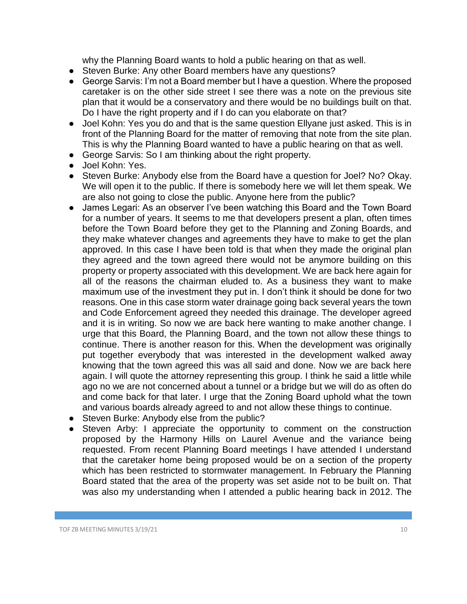why the Planning Board wants to hold a public hearing on that as well.

- Steven Burke: Any other Board members have any questions?
- George Sarvis: I'm not a Board member but I have a question. Where the proposed caretaker is on the other side street I see there was a note on the previous site plan that it would be a conservatory and there would be no buildings built on that. Do I have the right property and if I do can you elaborate on that?
- Joel Kohn: Yes you do and that is the same question Ellyane just asked. This is in front of the Planning Board for the matter of removing that note from the site plan. This is why the Planning Board wanted to have a public hearing on that as well.
- George Sarvis: So I am thinking about the right property.
- Joel Kohn: Yes.
- Steven Burke: Anybody else from the Board have a question for Joel? No? Okay. We will open it to the public. If there is somebody here we will let them speak. We are also not going to close the public. Anyone here from the public?
- James Legari: As an observer I've been watching this Board and the Town Board for a number of years. It seems to me that developers present a plan, often times before the Town Board before they get to the Planning and Zoning Boards, and they make whatever changes and agreements they have to make to get the plan approved. In this case I have been told is that when they made the original plan they agreed and the town agreed there would not be anymore building on this property or property associated with this development. We are back here again for all of the reasons the chairman eluded to. As a business they want to make maximum use of the investment they put in. I don't think it should be done for two reasons. One in this case storm water drainage going back several years the town and Code Enforcement agreed they needed this drainage. The developer agreed and it is in writing. So now we are back here wanting to make another change. I urge that this Board, the Planning Board, and the town not allow these things to continue. There is another reason for this. When the development was originally put together everybody that was interested in the development walked away knowing that the town agreed this was all said and done. Now we are back here again. I will quote the attorney representing this group. I think he said a little while ago no we are not concerned about a tunnel or a bridge but we will do as often do and come back for that later. I urge that the Zoning Board uphold what the town and various boards already agreed to and not allow these things to continue.
- Steven Burke: Anybody else from the public?
- Steven Arby: I appreciate the opportunity to comment on the construction proposed by the Harmony Hills on Laurel Avenue and the variance being requested. From recent Planning Board meetings I have attended I understand that the caretaker home being proposed would be on a section of the property which has been restricted to stormwater management. In February the Planning Board stated that the area of the property was set aside not to be built on. That was also my understanding when I attended a public hearing back in 2012. The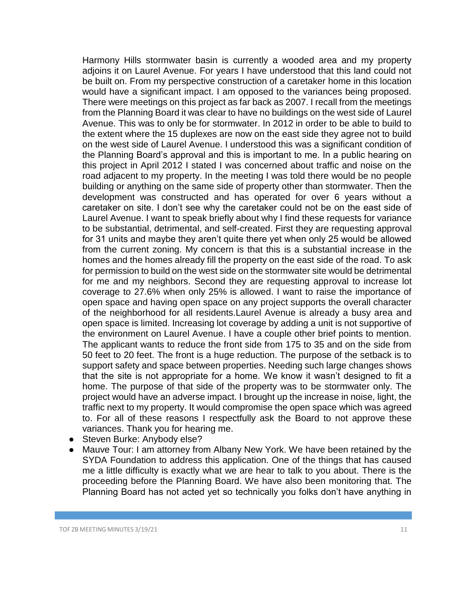Harmony Hills stormwater basin is currently a wooded area and my property adjoins it on Laurel Avenue. For years I have understood that this land could not be built on. From my perspective construction of a caretaker home in this location would have a significant impact. I am opposed to the variances being proposed. There were meetings on this project as far back as 2007. I recall from the meetings from the Planning Board it was clear to have no buildings on the west side of Laurel Avenue. This was to only be for stormwater. In 2012 in order to be able to build to the extent where the 15 duplexes are now on the east side they agree not to build on the west side of Laurel Avenue. I understood this was a significant condition of the Planning Board's approval and this is important to me. In a public hearing on this project in April 2012 I stated I was concerned about traffic and noise on the road adjacent to my property. In the meeting I was told there would be no people building or anything on the same side of property other than stormwater. Then the development was constructed and has operated for over 6 years without a caretaker on site. I don't see why the caretaker could not be on the east side of Laurel Avenue. I want to speak briefly about why I find these requests for variance to be substantial, detrimental, and self-created. First they are requesting approval for 31 units and maybe they aren't quite there yet when only 25 would be allowed from the current zoning. My concern is that this is a substantial increase in the homes and the homes already fill the property on the east side of the road. To ask for permission to build on the west side on the stormwater site would be detrimental for me and my neighbors. Second they are requesting approval to increase lot coverage to 27.6% when only 25% is allowed. I want to raise the importance of open space and having open space on any project supports the overall character of the neighborhood for all residents.Laurel Avenue is already a busy area and open space is limited. Increasing lot coverage by adding a unit is not supportive of the environment on Laurel Avenue. I have a couple other brief points to mention. The applicant wants to reduce the front side from 175 to 35 and on the side from 50 feet to 20 feet. The front is a huge reduction. The purpose of the setback is to support safety and space between properties. Needing such large changes shows that the site is not appropriate for a home. We know it wasn't designed to fit a home. The purpose of that side of the property was to be stormwater only. The project would have an adverse impact. I brought up the increase in noise, light, the traffic next to my property. It would compromise the open space which was agreed to. For all of these reasons I respectfully ask the Board to not approve these variances. Thank you for hearing me.

- Steven Burke: Anybody else?
- Mauve Tour: I am attorney from Albany New York. We have been retained by the SYDA Foundation to address this application. One of the things that has caused me a little difficulty is exactly what we are hear to talk to you about. There is the proceeding before the Planning Board. We have also been monitoring that. The Planning Board has not acted yet so technically you folks don't have anything in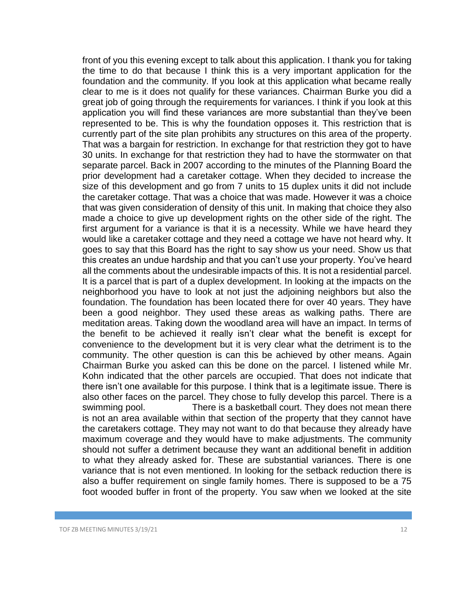front of you this evening except to talk about this application. I thank you for taking the time to do that because I think this is a very important application for the foundation and the community. If you look at this application what became really clear to me is it does not qualify for these variances. Chairman Burke you did a great job of going through the requirements for variances. I think if you look at this application you will find these variances are more substantial than they've been represented to be. This is why the foundation opposes it. This restriction that is currently part of the site plan prohibits any structures on this area of the property. That was a bargain for restriction. In exchange for that restriction they got to have 30 units. In exchange for that restriction they had to have the stormwater on that separate parcel. Back in 2007 according to the minutes of the Planning Board the prior development had a caretaker cottage. When they decided to increase the size of this development and go from 7 units to 15 duplex units it did not include the caretaker cottage. That was a choice that was made. However it was a choice that was given consideration of density of this unit. In making that choice they also made a choice to give up development rights on the other side of the right. The first argument for a variance is that it is a necessity. While we have heard they would like a caretaker cottage and they need a cottage we have not heard why. It goes to say that this Board has the right to say show us your need. Show us that this creates an undue hardship and that you can't use your property. You've heard all the comments about the undesirable impacts of this. It is not a residential parcel. It is a parcel that is part of a duplex development. In looking at the impacts on the neighborhood you have to look at not just the adjoining neighbors but also the foundation. The foundation has been located there for over 40 years. They have been a good neighbor. They used these areas as walking paths. There are meditation areas. Taking down the woodland area will have an impact. In terms of the benefit to be achieved it really isn't clear what the benefit is except for convenience to the development but it is very clear what the detriment is to the community. The other question is can this be achieved by other means. Again Chairman Burke you asked can this be done on the parcel. I listened while Mr. Kohn indicated that the other parcels are occupied. That does not indicate that there isn't one available for this purpose. I think that is a legitimate issue. There is also other faces on the parcel. They chose to fully develop this parcel. There is a swimming pool. There is a basketball court. They does not mean there is not an area available within that section of the property that they cannot have the caretakers cottage. They may not want to do that because they already have maximum coverage and they would have to make adjustments. The community should not suffer a detriment because they want an additional benefit in addition to what they already asked for. These are substantial variances. There is one variance that is not even mentioned. In looking for the setback reduction there is also a buffer requirement on single family homes. There is supposed to be a 75 foot wooded buffer in front of the property. You saw when we looked at the site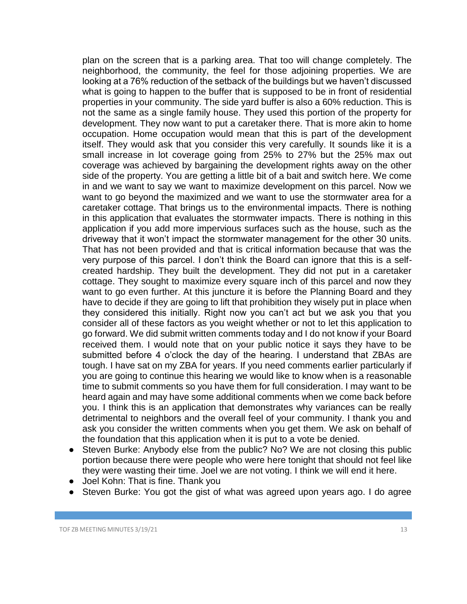plan on the screen that is a parking area. That too will change completely. The neighborhood, the community, the feel for those adjoining properties. We are looking at a 76% reduction of the setback of the buildings but we haven't discussed what is going to happen to the buffer that is supposed to be in front of residential properties in your community. The side yard buffer is also a 60% reduction. This is not the same as a single family house. They used this portion of the property for development. They now want to put a caretaker there. That is more akin to home occupation. Home occupation would mean that this is part of the development itself. They would ask that you consider this very carefully. It sounds like it is a small increase in lot coverage going from 25% to 27% but the 25% max out coverage was achieved by bargaining the development rights away on the other side of the property. You are getting a little bit of a bait and switch here. We come in and we want to say we want to maximize development on this parcel. Now we want to go beyond the maximized and we want to use the stormwater area for a caretaker cottage. That brings us to the environmental impacts. There is nothing in this application that evaluates the stormwater impacts. There is nothing in this application if you add more impervious surfaces such as the house, such as the driveway that it won't impact the stormwater management for the other 30 units. That has not been provided and that is critical information because that was the very purpose of this parcel. I don't think the Board can ignore that this is a selfcreated hardship. They built the development. They did not put in a caretaker cottage. They sought to maximize every square inch of this parcel and now they want to go even further. At this juncture it is before the Planning Board and they have to decide if they are going to lift that prohibition they wisely put in place when they considered this initially. Right now you can't act but we ask you that you consider all of these factors as you weight whether or not to let this application to go forward. We did submit written comments today and I do not know if your Board received them. I would note that on your public notice it says they have to be submitted before 4 o'clock the day of the hearing. I understand that ZBAs are tough. I have sat on my ZBA for years. If you need comments earlier particularly if you are going to continue this hearing we would like to know when is a reasonable time to submit comments so you have them for full consideration. I may want to be heard again and may have some additional comments when we come back before you. I think this is an application that demonstrates why variances can be really detrimental to neighbors and the overall feel of your community. I thank you and ask you consider the written comments when you get them. We ask on behalf of the foundation that this application when it is put to a vote be denied.

- Steven Burke: Anybody else from the public? No? We are not closing this public portion because there were people who were here tonight that should not feel like they were wasting their time. Joel we are not voting. I think we will end it here.
- Joel Kohn: That is fine. Thank you
- Steven Burke: You got the gist of what was agreed upon years ago. I do agree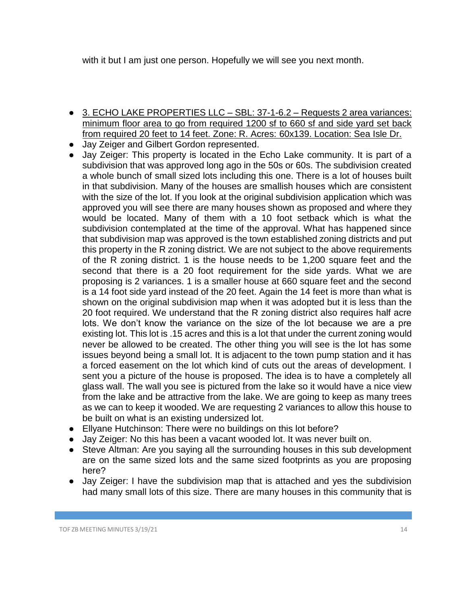with it but I am just one person. Hopefully we will see you next month.

- 3. ECHO LAKE PROPERTIES LLC SBL: 37-1-6.2 Requests 2 area variances: minimum floor area to go from required 1200 sf to 660 sf and side yard set back from required 20 feet to 14 feet. Zone: R. Acres: 60x139. Location: Sea Isle Dr.
- Jay Zeiger and Gilbert Gordon represented.
- Jay Zeiger: This property is located in the Echo Lake community. It is part of a subdivision that was approved long ago in the 50s or 60s. The subdivision created a whole bunch of small sized lots including this one. There is a lot of houses built in that subdivision. Many of the houses are smallish houses which are consistent with the size of the lot. If you look at the original subdivision application which was approved you will see there are many houses shown as proposed and where they would be located. Many of them with a 10 foot setback which is what the subdivision contemplated at the time of the approval. What has happened since that subdivision map was approved is the town established zoning districts and put this property in the R zoning district. We are not subject to the above requirements of the R zoning district. 1 is the house needs to be 1,200 square feet and the second that there is a 20 foot requirement for the side yards. What we are proposing is 2 variances. 1 is a smaller house at 660 square feet and the second is a 14 foot side yard instead of the 20 feet. Again the 14 feet is more than what is shown on the original subdivision map when it was adopted but it is less than the 20 foot required. We understand that the R zoning district also requires half acre lots. We don't know the variance on the size of the lot because we are a pre existing lot. This lot is .15 acres and this is a lot that under the current zoning would never be allowed to be created. The other thing you will see is the lot has some issues beyond being a small lot. It is adjacent to the town pump station and it has a forced easement on the lot which kind of cuts out the areas of development. I sent you a picture of the house is proposed. The idea is to have a completely all glass wall. The wall you see is pictured from the lake so it would have a nice view from the lake and be attractive from the lake. We are going to keep as many trees as we can to keep it wooded. We are requesting 2 variances to allow this house to be built on what is an existing undersized lot.
- Ellyane Hutchinson: There were no buildings on this lot before?
- Jay Zeiger: No this has been a vacant wooded lot. It was never built on.
- Steve Altman: Are you saying all the surrounding houses in this sub development are on the same sized lots and the same sized footprints as you are proposing here?
- Jay Zeiger: I have the subdivision map that is attached and yes the subdivision had many small lots of this size. There are many houses in this community that is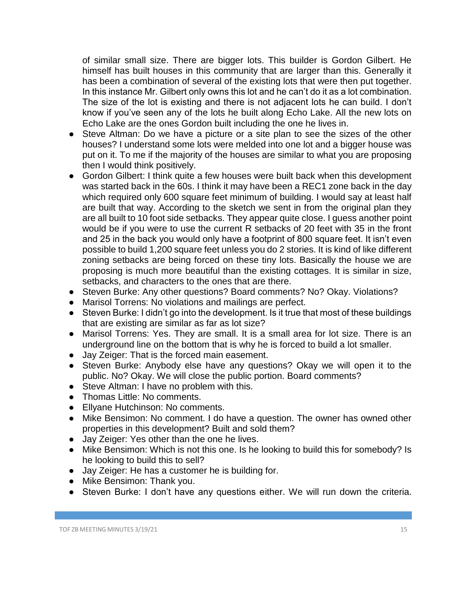of similar small size. There are bigger lots. This builder is Gordon Gilbert. He himself has built houses in this community that are larger than this. Generally it has been a combination of several of the existing lots that were then put together. In this instance Mr. Gilbert only owns this lot and he can't do it as a lot combination. The size of the lot is existing and there is not adjacent lots he can build. I don't know if you've seen any of the lots he built along Echo Lake. All the new lots on Echo Lake are the ones Gordon built including the one he lives in.

- Steve Altman: Do we have a picture or a site plan to see the sizes of the other houses? I understand some lots were melded into one lot and a bigger house was put on it. To me if the majority of the houses are similar to what you are proposing then I would think positively.
- Gordon Gilbert: I think quite a few houses were built back when this development was started back in the 60s. I think it may have been a REC1 zone back in the day which required only 600 square feet minimum of building. I would say at least half are built that way. According to the sketch we sent in from the original plan they are all built to 10 foot side setbacks. They appear quite close. I guess another point would be if you were to use the current R setbacks of 20 feet with 35 in the front and 25 in the back you would only have a footprint of 800 square feet. It isn't even possible to build 1,200 square feet unless you do 2 stories. It is kind of like different zoning setbacks are being forced on these tiny lots. Basically the house we are proposing is much more beautiful than the existing cottages. It is similar in size, setbacks, and characters to the ones that are there.
- Steven Burke: Any other questions? Board comments? No? Okay. Violations?
- Marisol Torrens: No violations and mailings are perfect.
- Steven Burke: I didn't go into the development. Is it true that most of these buildings that are existing are similar as far as lot size?
- Marisol Torrens: Yes. They are small. It is a small area for lot size. There is an underground line on the bottom that is why he is forced to build a lot smaller.
- Jay Zeiger: That is the forced main easement.
- Steven Burke: Anybody else have any questions? Okay we will open it to the public. No? Okay. We will close the public portion. Board comments?
- Steve Altman: I have no problem with this.
- Thomas Little: No comments.
- Ellyane Hutchinson: No comments.
- Mike Bensimon: No comment. I do have a question. The owner has owned other properties in this development? Built and sold them?
- Jay Zeiger: Yes other than the one he lives.
- Mike Bensimon: Which is not this one. Is he looking to build this for somebody? Is he looking to build this to sell?
- Jay Zeiger: He has a customer he is building for.
- Mike Bensimon: Thank you.
- Steven Burke: I don't have any questions either. We will run down the criteria.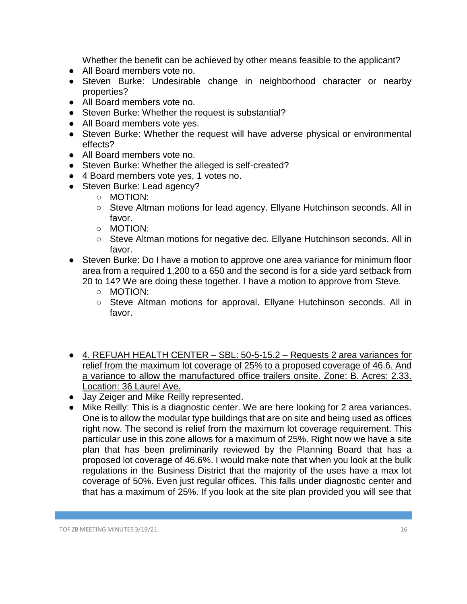Whether the benefit can be achieved by other means feasible to the applicant?

- All Board members vote no.
- Steven Burke: Undesirable change in neighborhood character or nearby properties?
- All Board members vote no.
- Steven Burke: Whether the request is substantial?
- All Board members vote yes.
- Steven Burke: Whether the request will have adverse physical or environmental effects?
- All Board members vote no.
- Steven Burke: Whether the alleged is self-created?
- 4 Board members vote yes, 1 votes no.
- Steven Burke: Lead agency?
	- MOTION:
	- Steve Altman motions for lead agency. Ellyane Hutchinson seconds. All in favor.
	- MOTION:
	- Steve Altman motions for negative dec. Ellyane Hutchinson seconds. All in favor.
- Steven Burke: Do I have a motion to approve one area variance for minimum floor area from a required 1,200 to a 650 and the second is for a side yard setback from 20 to 14? We are doing these together. I have a motion to approve from Steve.
	- MOTION:
	- Steve Altman motions for approval. Ellyane Hutchinson seconds. All in favor.
- 4. REFUAH HEALTH CENTER SBL: 50-5-15.2 Requests 2 area variances for relief from the maximum lot coverage of 25% to a proposed coverage of 46.6. And a variance to allow the manufactured office trailers onsite. Zone: B. Acres: 2.33. Location: 36 Laurel Ave.
- Jay Zeiger and Mike Reilly represented.
- Mike Reilly: This is a diagnostic center. We are here looking for 2 area variances. One is to allow the modular type buildings that are on site and being used as offices right now. The second is relief from the maximum lot coverage requirement. This particular use in this zone allows for a maximum of 25%. Right now we have a site plan that has been preliminarily reviewed by the Planning Board that has a proposed lot coverage of 46.6%. I would make note that when you look at the bulk regulations in the Business District that the majority of the uses have a max lot coverage of 50%. Even just regular offices. This falls under diagnostic center and that has a maximum of 25%. If you look at the site plan provided you will see that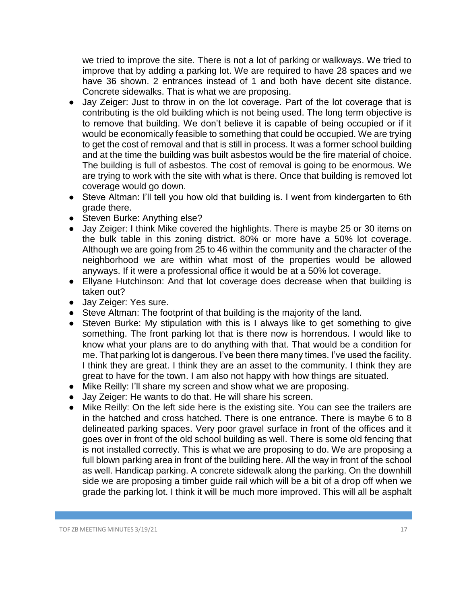we tried to improve the site. There is not a lot of parking or walkways. We tried to improve that by adding a parking lot. We are required to have 28 spaces and we have 36 shown. 2 entrances instead of 1 and both have decent site distance. Concrete sidewalks. That is what we are proposing.

- Jay Zeiger: Just to throw in on the lot coverage. Part of the lot coverage that is contributing is the old building which is not being used. The long term objective is to remove that building. We don't believe it is capable of being occupied or if it would be economically feasible to something that could be occupied. We are trying to get the cost of removal and that is still in process. It was a former school building and at the time the building was built asbestos would be the fire material of choice. The building is full of asbestos. The cost of removal is going to be enormous. We are trying to work with the site with what is there. Once that building is removed lot coverage would go down.
- Steve Altman: I'll tell you how old that building is. I went from kindergarten to 6th grade there.
- Steven Burke: Anything else?
- Jay Zeiger: I think Mike covered the highlights. There is maybe 25 or 30 items on the bulk table in this zoning district. 80% or more have a 50% lot coverage. Although we are going from 25 to 46 within the community and the character of the neighborhood we are within what most of the properties would be allowed anyways. If it were a professional office it would be at a 50% lot coverage.
- Ellyane Hutchinson: And that lot coverage does decrease when that building is taken out?
- Jay Zeiger: Yes sure.
- Steve Altman: The footprint of that building is the majority of the land.
- Steven Burke: My stipulation with this is I always like to get something to give something. The front parking lot that is there now is horrendous. I would like to know what your plans are to do anything with that. That would be a condition for me. That parking lot is dangerous. I've been there many times. I've used the facility. I think they are great. I think they are an asset to the community. I think they are great to have for the town. I am also not happy with how things are situated.
- Mike Reilly: I'll share my screen and show what we are proposing.
- Jay Zeiger: He wants to do that. He will share his screen.
- Mike Reilly: On the left side here is the existing site. You can see the trailers are in the hatched and cross hatched. There is one entrance. There is maybe 6 to 8 delineated parking spaces. Very poor gravel surface in front of the offices and it goes over in front of the old school building as well. There is some old fencing that is not installed correctly. This is what we are proposing to do. We are proposing a full blown parking area in front of the building here. All the way in front of the school as well. Handicap parking. A concrete sidewalk along the parking. On the downhill side we are proposing a timber guide rail which will be a bit of a drop off when we grade the parking lot. I think it will be much more improved. This will all be asphalt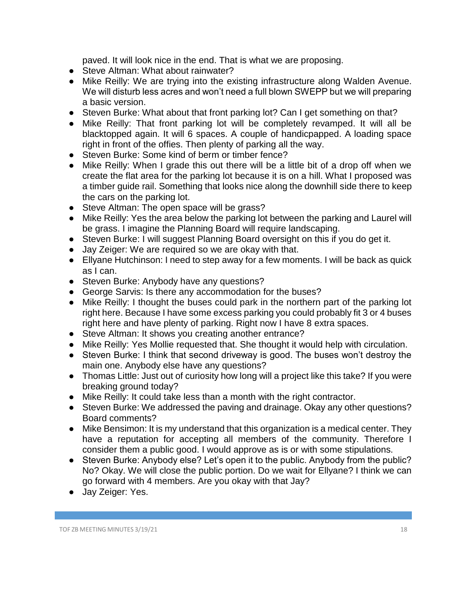paved. It will look nice in the end. That is what we are proposing.

- Steve Altman: What about rainwater?
- Mike Reilly: We are trying into the existing infrastructure along Walden Avenue. We will disturb less acres and won't need a full blown SWEPP but we will preparing a basic version.
- Steven Burke: What about that front parking lot? Can I get something on that?
- Mike Reilly: That front parking lot will be completely revamped. It will all be blacktopped again. It will 6 spaces. A couple of handicpapped. A loading space right in front of the offies. Then plenty of parking all the way.
- Steven Burke: Some kind of berm or timber fence?
- Mike Reilly: When I grade this out there will be a little bit of a drop off when we create the flat area for the parking lot because it is on a hill. What I proposed was a timber guide rail. Something that looks nice along the downhill side there to keep the cars on the parking lot.
- Steve Altman: The open space will be grass?
- Mike Reilly: Yes the area below the parking lot between the parking and Laurel will be grass. I imagine the Planning Board will require landscaping.
- Steven Burke: I will suggest Planning Board oversight on this if you do get it.
- Jay Zeiger: We are required so we are okay with that.
- Ellyane Hutchinson: I need to step away for a few moments. I will be back as quick as I can.
- Steven Burke: Anybody have any questions?
- George Sarvis: Is there any accommodation for the buses?
- Mike Reilly: I thought the buses could park in the northern part of the parking lot right here. Because I have some excess parking you could probably fit 3 or 4 buses right here and have plenty of parking. Right now I have 8 extra spaces.
- Steve Altman: It shows you creating another entrance?
- Mike Reilly: Yes Mollie requested that. She thought it would help with circulation.
- Steven Burke: I think that second driveway is good. The buses won't destroy the main one. Anybody else have any questions?
- Thomas Little: Just out of curiosity how long will a project like this take? If you were breaking ground today?
- Mike Reilly: It could take less than a month with the right contractor.
- Steven Burke: We addressed the paving and drainage. Okay any other questions? Board comments?
- Mike Bensimon: It is my understand that this organization is a medical center. They have a reputation for accepting all members of the community. Therefore I consider them a public good. I would approve as is or with some stipulations.
- Steven Burke: Anybody else? Let's open it to the public. Anybody from the public? No? Okay. We will close the public portion. Do we wait for Ellyane? I think we can go forward with 4 members. Are you okay with that Jay?
- Jay Zeiger: Yes.